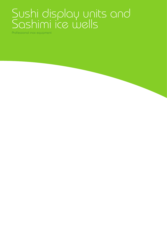# Sushi display units and Sashimi ice wells

Professional inox equipment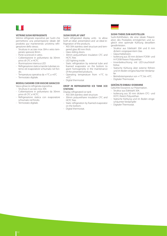



## **VETRINE SUSHI REFRIGERATE**

Vetrine refrigerate espositive per Sushi che permettono una presentazione ideale del prodotto pur mantenendo un'ottima refrigerazione dello stesso.

- Struttura in acciaio inox 304 e vetro temperato spessore 8mm.
- Porte scorrevoli in vetro.
- Coibentazione in poliuretano da 30mm privo di CFC e HCFC
- Illuminazione interna a LED
- Refrigerazione statica tramite tubolare esterno ed evaporatore schiumato nel fondo.
- Temperatura operativa da +1°C a +6°C
- Termostato digitale.

## **MODULI SASHIMI CON VASCHE GHIACCIO**

Vasca ghiaccio refrigerata espositiva.

- Struttura in acciaio inox 304.
- Coibentazione in poliuretano da 30mm privo di CFC e HCFC.
- Refrigerazione statica con evaporatore schiumato nel fondo.
- Termostato digitale.

## **SUSHI DISPLAY UNIT**

Sushi refrigerated display units to allow both an ideal presentation and an ideal refrigeration of the products.

- AISI 304 stainless steel structure and tem-
- pered glass 80 mm thick.
- Glass sliding doors.
- 30mm polyurethane insulation CFC and HCFC free.
- LED lighting inside.
- Static refrigeration by external tube and foamed evaporator on the bottom to grant homogeneity in the maintenance of the presented products.
- Operating temperature from  $+1^{\circ}C$  to  $+6^{\circ}C$
- Digital thermostat

## **DROP IN REFRIGERATED ICE TANK (ICE STATION)**

- Display refrigerated ice tank
- AISI 304 stainless steel structure.
- 30mm polyurethane insulation CFC and HCFC free.
- Static refrigeration by foamed evaporator on the bottom.
- Digital thermostat.



## **SUSHI-THEKE ZUM AUFSTELLEN**

Sushi-Kühltheken, die eine ideale Präsentation des Produktes ermöglichen und zugleich eine optimale Kühlung desselben gewährleisten.

- Struktur aus Edelstahl 304 und 8 mm dickem vorgespanntem Glas
- Glasschiebetüren.
- Isolierung aus 30 mm dickem FCKW- und H-FCKW-freiem Polyurethan
- Innenbeleuchtung mit LED-Leuchtstoffröhre
- Statische Kühlung über externe Röhren und im Boden eingeschäumter Verdampfer
- Betriebstemperatur von +1°C bis +6°C.
- Digitaler Thermostat.

## **GEKÜHLTE EINBAU-EISWANNE**

Gekühlte Eiswanne zur Präsentation.

- Struktur aus Edelstahl 304. - Isolierung aus 30 mm dickem CFC- und HCFC-freiem Polyurethan.
- Statische Kühlung und im Boden eingeschäumter Verdampfer
- Digitaler Thermostat.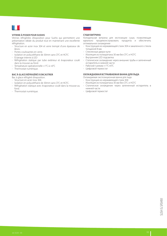

## **VITRINE À POSER POUR SUSHIS**

Vitrines réfrigérées d'exposition pour Sushis qui permettent une présentation idéale du produit tout en maintenant une excellente réfrigération.

- Structure en acier inox 304 et verre trempé d'une épaisseur de 8mm.
- Portes coulissantes en verre.
- Isolation en polyuréthane de 30mm sans CFC et HCFC
- Éclairage interne à LED
- Réfrigération statique par tube extérieur et évaporateur coulé dans la mousse au fond.
- Température opérationnelle +1°C à +6°C
- Thermostat numérique.

## **BAC À GLACE RÉFRIGÉRÉ À ENCASTRER**

- Bac à glace réfrigéré d'exposition.
- Structure en acier inox 304.
- Isolation en polyuréthane de 30mm sans CFC et HCFC.
- Réfrigération statique avec évaporateur coulé dans la mousse au fond.
- Thermostat numérique.



## **СУШИ ВИТРИНА**

Холодильная витрина для экспозиции суши, позволяющая идеально продемонстрировать продукты и обеспечить оптимальное охлаждение

- Конструкция из нержавеющей стали 304 и закаленного стекла толщиной 8 мм.
- Стеклянные двери-купе
- Изоляция из полиуретана 30 мм без CFC и HCFC
- Внутренняя LED подсветка
- Статическое охлаждение через внешние трубы и запененный испаритель в нижней части
- Рабочий t режим +1°С+6°С
- Цифровой термостат

## **ОХЛАЖДАЕМАЯ ВСТРАИВАЕМАЯ ВАННА ДЛЯ ЛЬДА**

- Охлаждаемая экспозиционная ванна для льда
- Конструкция из нержавеющей стали 304
- Изоляция из полиуретана 30 мм без CFC и HCFC
- Статическое охлаждение через запененный испаритель в нижней части
- Цифровой термостат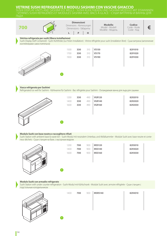## **VETRINE SUSHI REFRIGERATE E MODULI SASHIMI CON VASCHE GHIACCIO**

SUSHI DISPLAY UNITS AND SASHIMI ICE WELLS - SUSHI-KÜHLTHEKEN UND SASHIMI-MODULE MIT EISWANNEN - VITRINES SUSHI RÉFRIGÉRÉES ET MODULES SASHIMI AVEC BACS À GLACE - СУШИ ВИТРИНЫ И ВАННЫ ДЛЯ ЛЬДА